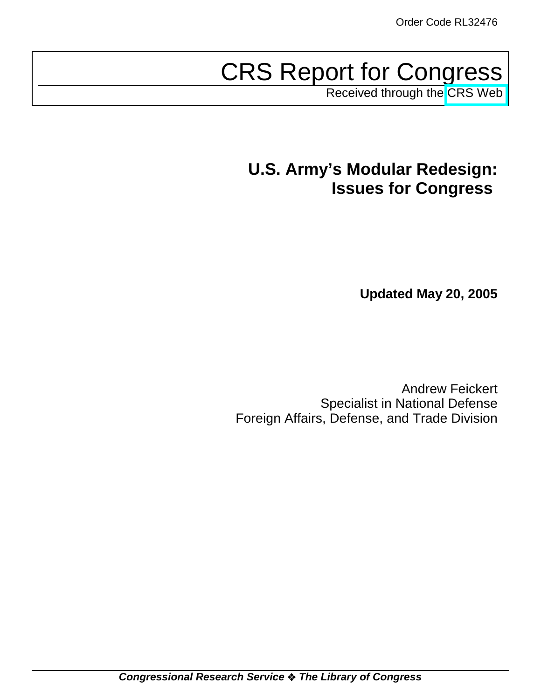# CRS Report for Congress

Received through the [CRS Web](http://www.fas.org/sgp/crs/natsec/index.html)

## **U.S. Army's Modular Redesign: Issues for Congress**

**Updated May 20, 2005**

Andrew Feickert Specialist in National Defense Foreign Affairs, Defense, and Trade Division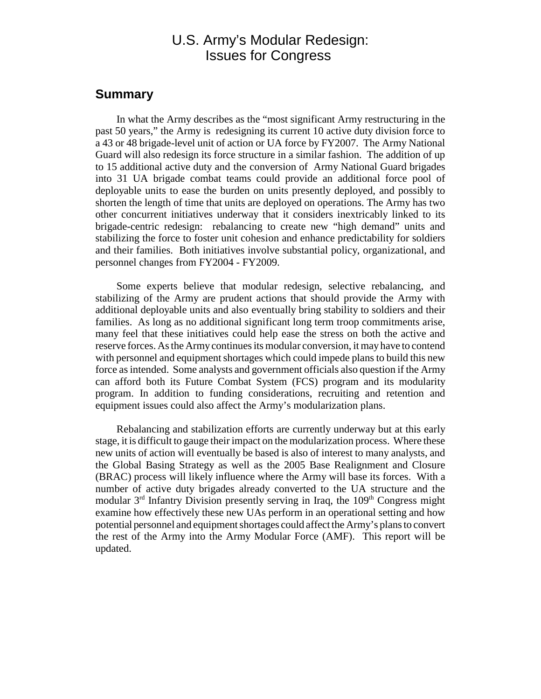## U.S. Army's Modular Redesign: Issues for Congress

### **Summary**

In what the Army describes as the "most significant Army restructuring in the past 50 years," the Army is redesigning its current 10 active duty division force to a 43 or 48 brigade-level unit of action or UA force by FY2007. The Army National Guard will also redesign its force structure in a similar fashion. The addition of up to 15 additional active duty and the conversion of Army National Guard brigades into 31 UA brigade combat teams could provide an additional force pool of deployable units to ease the burden on units presently deployed, and possibly to shorten the length of time that units are deployed on operations. The Army has two other concurrent initiatives underway that it considers inextricably linked to its brigade-centric redesign: rebalancing to create new "high demand" units and stabilizing the force to foster unit cohesion and enhance predictability for soldiers and their families. Both initiatives involve substantial policy, organizational, and personnel changes from FY2004 - FY2009.

Some experts believe that modular redesign, selective rebalancing, and stabilizing of the Army are prudent actions that should provide the Army with additional deployable units and also eventually bring stability to soldiers and their families. As long as no additional significant long term troop commitments arise, many feel that these initiatives could help ease the stress on both the active and reserve forces. As the Army continues its modular conversion, it may have to contend with personnel and equipment shortages which could impede plans to build this new force as intended. Some analysts and government officials also question if the Army can afford both its Future Combat System (FCS) program and its modularity program. In addition to funding considerations, recruiting and retention and equipment issues could also affect the Army's modularization plans.

Rebalancing and stabilization efforts are currently underway but at this early stage, it is difficult to gauge their impact on the modularization process. Where these new units of action will eventually be based is also of interest to many analysts, and the Global Basing Strategy as well as the 2005 Base Realignment and Closure (BRAC) process will likely influence where the Army will base its forces. With a number of active duty brigades already converted to the UA structure and the modular  $3<sup>rd</sup>$  Infantry Division presently serving in Iraq, the  $109<sup>th</sup>$  Congress might examine how effectively these new UAs perform in an operational setting and how potential personnel and equipment shortages could affect the Army's plans to convert the rest of the Army into the Army Modular Force (AMF). This report will be updated.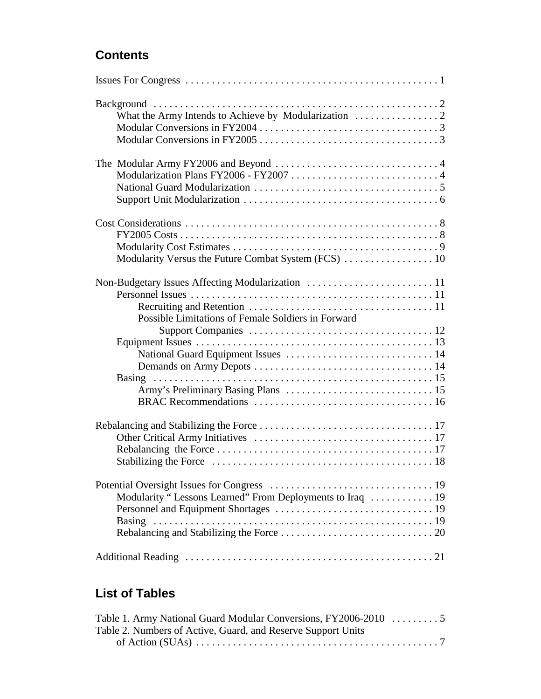## **Contents**

| Possible Limitations of Female Soldiers in Forward        |
|-----------------------------------------------------------|
|                                                           |
|                                                           |
| Modularity "Lessons Learned" From Deployments to Iraq  19 |
|                                                           |

## **List of Tables**

| Table 2. Numbers of Active, Guard, and Reserve Support Units |  |  |
|--------------------------------------------------------------|--|--|
|                                                              |  |  |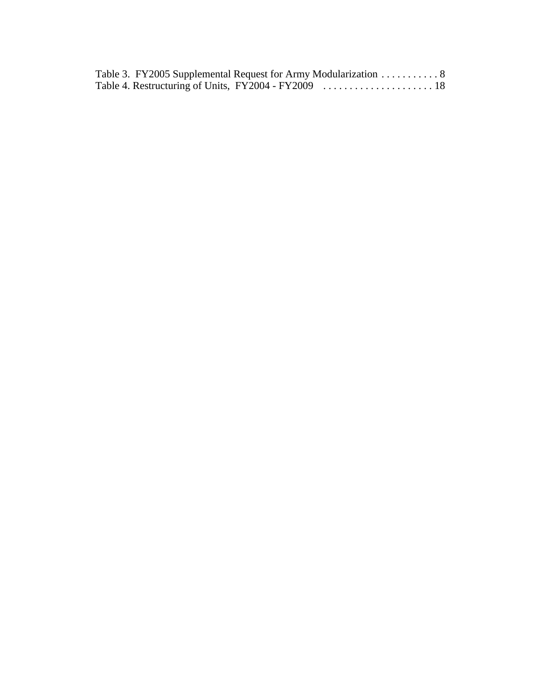|  | Table 3. FY2005 Supplemental Request for Army Modularization 8 |  |
|--|----------------------------------------------------------------|--|
|  |                                                                |  |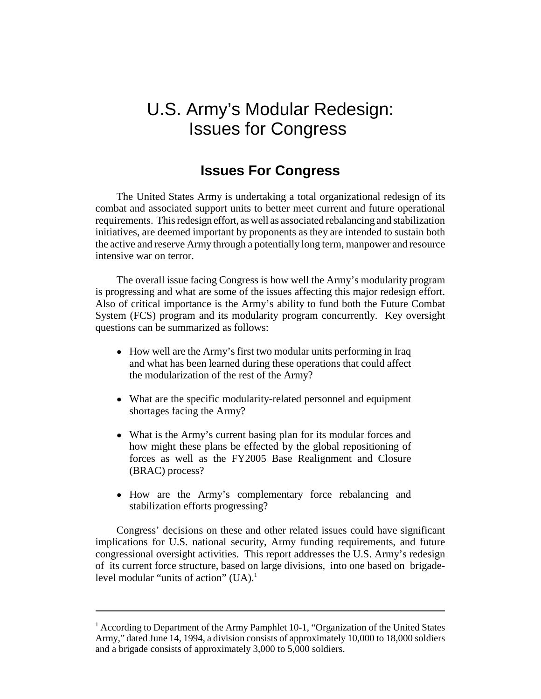## U.S. Army's Modular Redesign: Issues for Congress

## **Issues For Congress**

The United States Army is undertaking a total organizational redesign of its combat and associated support units to better meet current and future operational requirements. This redesign effort, as well as associated rebalancing and stabilization initiatives, are deemed important by proponents as they are intended to sustain both the active and reserve Army through a potentially long term, manpower and resource intensive war on terror.

The overall issue facing Congress is how well the Army's modularity program is progressing and what are some of the issues affecting this major redesign effort. Also of critical importance is the Army's ability to fund both the Future Combat System (FCS) program and its modularity program concurrently. Key oversight questions can be summarized as follows:

- How well are the Army's first two modular units performing in Iraq and what has been learned during these operations that could affect the modularization of the rest of the Army?
- What are the specific modularity-related personnel and equipment shortages facing the Army?
- What is the Army's current basing plan for its modular forces and how might these plans be effected by the global repositioning of forces as well as the FY2005 Base Realignment and Closure (BRAC) process?
- ! How are the Army's complementary force rebalancing and stabilization efforts progressing?

Congress' decisions on these and other related issues could have significant implications for U.S. national security, Army funding requirements, and future congressional oversight activities. This report addresses the U.S. Army's redesign of its current force structure, based on large divisions, into one based on brigadelevel modular "units of action"  $(UA)^1$ .

<sup>&</sup>lt;sup>1</sup> According to Department of the Army Pamphlet 10-1, "Organization of the United States Army," dated June 14, 1994, a division consists of approximately 10,000 to 18,000 soldiers and a brigade consists of approximately 3,000 to 5,000 soldiers.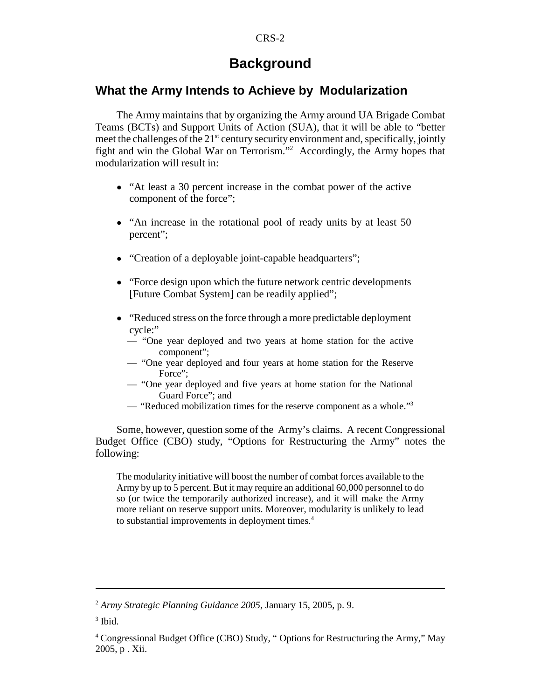## **Background**

### **What the Army Intends to Achieve by Modularization**

The Army maintains that by organizing the Army around UA Brigade Combat Teams (BCTs) and Support Units of Action (SUA), that it will be able to "better meet the challenges of the  $21<sup>st</sup>$  century security environment and, specifically, jointly fight and win the Global War on Terrorism."2 Accordingly, the Army hopes that modularization will result in:

- "At least a 30 percent increase in the combat power of the active component of the force";
- "An increase in the rotational pool of ready units by at least 50 percent";
- "Creation of a deployable joint-capable headquarters";
- "Force design upon which the future network centric developments" [Future Combat System] can be readily applied";
- "Reduced stress on the force through a more predictable deployment cycle:"
	- "One year deployed and two years at home station for the active component";
	- "One year deployed and four years at home station for the Reserve Force":
	- "One year deployed and five years at home station for the National Guard Force"; and
	- "Reduced mobilization times for the reserve component as a whole."3

Some, however, question some of the Army's claims. A recent Congressional Budget Office (CBO) study, "Options for Restructuring the Army" notes the following:

The modularity initiative will boost the number of combat forces available to the Army by up to 5 percent. But it may require an additional 60,000 personnel to do so (or twice the temporarily authorized increase), and it will make the Army more reliant on reserve support units. Moreover, modularity is unlikely to lead to substantial improvements in deployment times.<sup>4</sup>

<sup>2</sup> *Army Strategic Planning Guidance 2005*, January 15, 2005, p. 9.

 $3$  Ibid.

<sup>&</sup>lt;sup>4</sup> Congressional Budget Office (CBO) Study, " Options for Restructuring the Army," May 2005, p . Xii.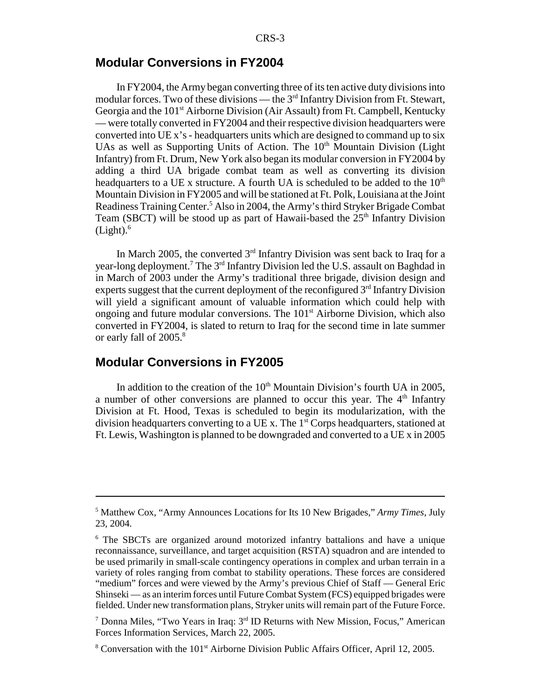### **Modular Conversions in FY2004**

In FY2004, the Army began converting three of its ten active duty divisions into modular forces. Two of these divisions — the  $3<sup>rd</sup>$  Infantry Division from Ft. Stewart, Georgia and the 101<sup>st</sup> Airborne Division (Air Assault) from Ft. Campbell, Kentucky — were totally converted in FY2004 and their respective division headquarters were converted into UE x's - headquarters units which are designed to command up to six UAs as well as Supporting Units of Action. The  $10<sup>th</sup>$  Mountain Division (Light Infantry) from Ft. Drum, New York also began its modular conversion in FY2004 by adding a third UA brigade combat team as well as converting its division headquarters to a UE x structure. A fourth UA is scheduled to be added to the  $10<sup>th</sup>$ Mountain Division in FY2005 and will be stationed at Ft. Polk, Louisiana at the Joint Readiness Training Center.<sup>5</sup> Also in 2004, the Army's third Stryker Brigade Combat Team (SBCT) will be stood up as part of Hawaii-based the  $25<sup>th</sup>$  Infantry Division  $(Light).<sup>6</sup>$ 

In March 2005, the converted  $3<sup>rd</sup>$  Infantry Division was sent back to Iraq for a year-long deployment.<sup>7</sup> The 3<sup>rd</sup> Infantry Division led the U.S. assault on Baghdad in in March of 2003 under the Army's traditional three brigade, division design and experts suggest that the current deployment of the reconfigured  $3<sup>rd</sup>$  Infantry Division will yield a significant amount of valuable information which could help with ongoing and future modular conversions. The  $101<sup>st</sup>$  Airborne Division, which also converted in FY2004, is slated to return to Iraq for the second time in late summer or early fall of 2005.<sup>8</sup>

## **Modular Conversions in FY2005**

In addition to the creation of the  $10<sup>th</sup>$  Mountain Division's fourth UA in 2005, a number of other conversions are planned to occur this year. The  $4<sup>th</sup>$  Infantry Division at Ft. Hood, Texas is scheduled to begin its modularization, with the division headquarters converting to a UE x. The  $1<sup>st</sup>$  Corps headquarters, stationed at Ft. Lewis, Washington is planned to be downgraded and converted to a UE x in 2005

<sup>5</sup> Matthew Cox, "Army Announces Locations for Its 10 New Brigades," *Army Times,* July 23, 2004.

<sup>&</sup>lt;sup>6</sup> The SBCTs are organized around motorized infantry battalions and have a unique reconnaissance, surveillance, and target acquisition (RSTA) squadron and are intended to be used primarily in small-scale contingency operations in complex and urban terrain in a variety of roles ranging from combat to stability operations. These forces are considered "medium" forces and were viewed by the Army's previous Chief of Staff — General Eric Shinseki — as an interim forces until Future Combat System (FCS) equipped brigades were fielded. Under new transformation plans, Stryker units will remain part of the Future Force.

<sup>&</sup>lt;sup>7</sup> Donna Miles, "Two Years in Iraq:  $3<sup>rd</sup>$  ID Returns with New Mission, Focus," American Forces Information Services, March 22, 2005.

<sup>&</sup>lt;sup>8</sup> Conversation with the 101<sup>st</sup> Airborne Division Public Affairs Officer, April 12, 2005.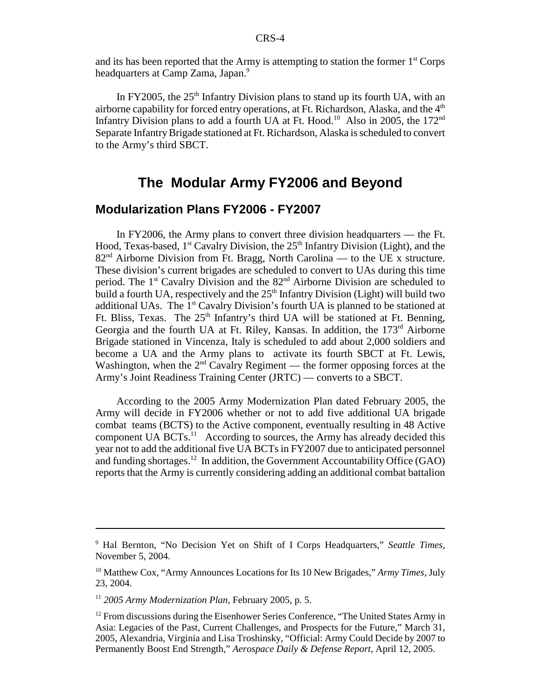and its has been reported that the Army is attempting to station the former  $1<sup>st</sup>$  Corps headquarters at Camp Zama, Japan.<sup>9</sup>

In FY2005, the  $25<sup>th</sup>$  Infantry Division plans to stand up its fourth UA, with an airborne capability for forced entry operations, at Ft. Richardson, Alaska, and the 4<sup>th</sup> Infantry Division plans to add a fourth UA at Ft. Hood.<sup>10</sup> Also in 2005, the 172<sup>nd</sup> Separate Infantry Brigade stationed at Ft. Richardson, Alaska is scheduled to convert to the Army's third SBCT.

## **The Modular Army FY2006 and Beyond**

## **Modularization Plans FY2006 - FY2007**

In FY2006, the Army plans to convert three division headquarters — the Ft. Hood, Texas-based,  $1<sup>st</sup>$  Cavalry Division, the  $25<sup>th</sup>$  Infantry Division (Light), and the  $82<sup>nd</sup>$  Airborne Division from Ft. Bragg, North Carolina — to the UE x structure. These division's current brigades are scheduled to convert to UAs during this time period. The 1<sup>st</sup> Cavalry Division and the 82<sup>nd</sup> Airborne Division are scheduled to build a fourth UA, respectively and the  $25<sup>th</sup>$  Infantry Division (Light) will build two additional UAs. The  $1<sup>st</sup>$  Cavalry Division's fourth UA is planned to be stationed at Ft. Bliss, Texas. The 25<sup>th</sup> Infantry's third UA will be stationed at Ft. Benning, Georgia and the fourth UA at Ft. Riley, Kansas. In addition, the 173<sup>rd</sup> Airborne Brigade stationed in Vincenza, Italy is scheduled to add about 2,000 soldiers and become a UA and the Army plans to activate its fourth SBCT at Ft. Lewis, Washington, when the  $2<sup>nd</sup>$  Cavalry Regiment — the former opposing forces at the Army's Joint Readiness Training Center (JRTC) — converts to a SBCT.

According to the 2005 Army Modernization Plan dated February 2005, the Army will decide in FY2006 whether or not to add five additional UA brigade combat teams (BCTS) to the Active component, eventually resulting in 48 Active component UA BCTs.<sup>11</sup> According to sources, the Army has already decided this year not to add the additional five UA BCTs in FY2007 due to anticipated personnel and funding shortages.<sup>12</sup> In addition, the Government Accountability Office (GAO) reports that the Army is currently considering adding an additional combat battalion

<sup>9</sup> Hal Bernton, "No Decision Yet on Shift of I Corps Headquarters," *Seattle Times,* November 5, 2004.

<sup>10</sup> Matthew Cox, "Army Announces Locations for Its 10 New Brigades," *Army Times,* July 23, 2004.

<sup>11</sup> *2005 Army Modernization Plan*, February 2005, p. 5.

<sup>&</sup>lt;sup>12</sup> From discussions during the Eisenhower Series Conference, "The United States Army in Asia: Legacies of the Past, Current Challenges, and Prospects for the Future," March 31, 2005, Alexandria, Virginia and Lisa Troshinsky, "Official: Army Could Decide by 2007 to Permanently Boost End Strength," *Aerospace Daily & Defense Report,* April 12, 2005.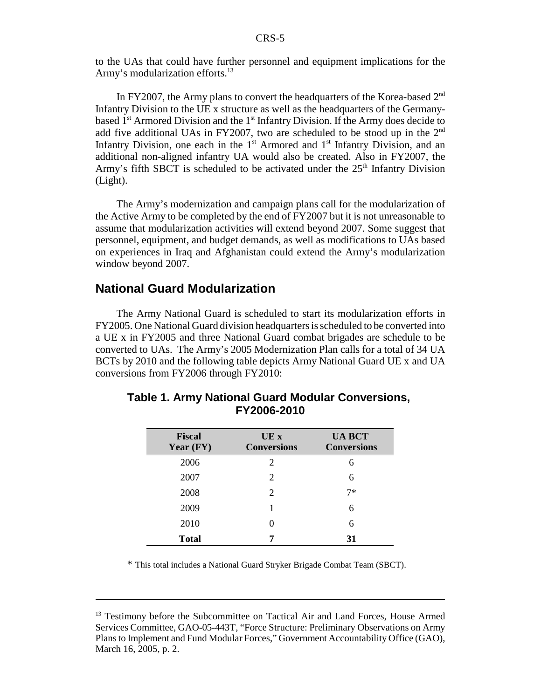to the UAs that could have further personnel and equipment implications for the Army's modularization efforts.<sup>13</sup>

In FY2007, the Army plans to convert the headquarters of the Korea-based  $2<sup>nd</sup>$ Infantry Division to the UE x structure as well as the headquarters of the Germanybased  $1<sup>st</sup>$  Armored Division and the  $1<sup>st</sup>$  Infantry Division. If the Army does decide to add five additional UAs in FY2007, two are scheduled to be stood up in the 2nd Infantry Division, one each in the  $1<sup>st</sup>$  Armored and  $1<sup>st</sup>$  Infantry Division, and an additional non-aligned infantry UA would also be created. Also in FY2007, the Army's fifth SBCT is scheduled to be activated under the  $25<sup>th</sup>$  Infantry Division (Light).

The Army's modernization and campaign plans call for the modularization of the Active Army to be completed by the end of FY2007 but it is not unreasonable to assume that modularization activities will extend beyond 2007. Some suggest that personnel, equipment, and budget demands, as well as modifications to UAs based on experiences in Iraq and Afghanistan could extend the Army's modularization window beyond 2007.

### **National Guard Modularization**

The Army National Guard is scheduled to start its modularization efforts in FY2005. One National Guard division headquarters is scheduled to be converted into a UE x in FY2005 and three National Guard combat brigades are schedule to be converted to UAs. The Army's 2005 Modernization Plan calls for a total of 34 UA BCTs by 2010 and the following table depicts Army National Guard UE x and UA conversions from FY2006 through FY2010:

| <b>Fiscal</b><br>Year $(FY)$ | UE x<br><b>Conversions</b> | <b>UA BCT</b><br><b>Conversions</b> |
|------------------------------|----------------------------|-------------------------------------|
| 2006                         | 2                          | 6                                   |
| 2007                         | 2                          | 6                                   |
| 2008                         | 2                          | $7*$                                |
| 2009                         |                            | 6                                   |
| 2010                         |                            | 6                                   |
| <b>Total</b>                 |                            | 31                                  |

### **Table 1. Army National Guard Modular Conversions, FY2006-2010**

\* This total includes a National Guard Stryker Brigade Combat Team (SBCT).

<sup>&</sup>lt;sup>13</sup> Testimony before the Subcommittee on Tactical Air and Land Forces, House Armed Services Committee, GAO-05-443T, "Force Structure: Preliminary Observations on Army Plans to Implement and Fund Modular Forces," Government Accountability Office (GAO), March 16, 2005, p. 2.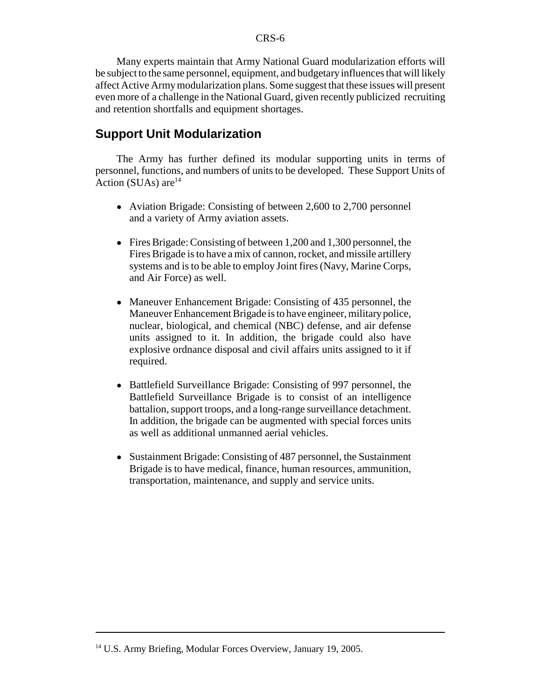Many experts maintain that Army National Guard modularization efforts will be subject to the same personnel, equipment, and budgetary influences that will likely affect Active Army modularization plans. Some suggest that these issues will present even more of a challenge in the National Guard, given recently publicized recruiting and retention shortfalls and equipment shortages.

#### **Support Unit Modularization**

The Army has further defined its modular supporting units in terms of personnel, functions, and numbers of units to be developed. These Support Units of Action (SUAs) are<sup>14</sup>

- Aviation Brigade: Consisting of between 2,600 to 2,700 personnel and a variety of Army aviation assets.
- ! Fires Brigade: Consisting of between 1,200 and 1,300 personnel, the Fires Brigade is to have a mix of cannon, rocket, and missile artillery systems and is to be able to employ Joint fires (Navy, Marine Corps, and Air Force) as well.
- Maneuver Enhancement Brigade: Consisting of 435 personnel, the Maneuver Enhancement Brigade is to have engineer, military police, nuclear, biological, and chemical (NBC) defense, and air defense units assigned to it. In addition, the brigade could also have explosive ordnance disposal and civil affairs units assigned to it if required.
- Battlefield Surveillance Brigade: Consisting of 997 personnel, the Battlefield Surveillance Brigade is to consist of an intelligence battalion, support troops, and a long-range surveillance detachment. In addition, the brigade can be augmented with special forces units as well as additional unmanned aerial vehicles.
- Sustainment Brigade: Consisting of 487 personnel, the Sustainment Brigade is to have medical, finance, human resources, ammunition, transportation, maintenance, and supply and service units.

<sup>&</sup>lt;sup>14</sup> U.S. Army Briefing, Modular Forces Overview, January 19, 2005.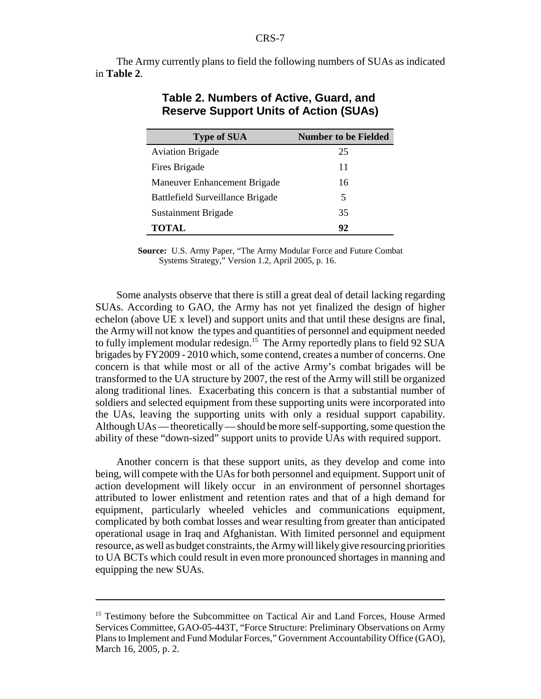The Army currently plans to field the following numbers of SUAs as indicated in **Table 2**.

| <b>Type of SUA</b>               | <b>Number to be Fielded</b> |
|----------------------------------|-----------------------------|
| <b>Aviation Brigade</b>          | 25                          |
| Fires Brigade                    | 11                          |
| Maneuver Enhancement Brigade     | 16                          |
| Battlefield Surveillance Brigade | 5                           |
| Sustainment Brigade              | 35                          |
| TOTAL                            | 92                          |

#### **Table 2. Numbers of Active, Guard, and Reserve Support Units of Action (SUAs)**

**Source:** U.S. Army Paper, "The Army Modular Force and Future Combat Systems Strategy," Version 1.2, April 2005, p. 16.

Some analysts observe that there is still a great deal of detail lacking regarding SUAs. According to GAO, the Army has not yet finalized the design of higher echelon (above UE x level) and support units and that until these designs are final, the Army will not know the types and quantities of personnel and equipment needed to fully implement modular redesign.<sup>15</sup> The Army reportedly plans to field 92 SUA brigades by FY2009 - 2010 which, some contend, creates a number of concerns. One concern is that while most or all of the active Army's combat brigades will be transformed to the UA structure by 2007, the rest of the Army will still be organized along traditional lines. Exacerbating this concern is that a substantial number of soldiers and selected equipment from these supporting units were incorporated into the UAs, leaving the supporting units with only a residual support capability. Although UAs — theoretically — should be more self-supporting, some question the ability of these "down-sized" support units to provide UAs with required support.

Another concern is that these support units, as they develop and come into being, will compete with the UAs for both personnel and equipment. Support unit of action development will likely occur in an environment of personnel shortages attributed to lower enlistment and retention rates and that of a high demand for equipment, particularly wheeled vehicles and communications equipment, complicated by both combat losses and wear resulting from greater than anticipated operational usage in Iraq and Afghanistan. With limited personnel and equipment resource, as well as budget constraints, the Army will likely give resourcing priorities to UA BCTs which could result in even more pronounced shortages in manning and equipping the new SUAs.

<sup>&</sup>lt;sup>15</sup> Testimony before the Subcommittee on Tactical Air and Land Forces, House Armed Services Committee, GAO-05-443T, "Force Structure: Preliminary Observations on Army Plans to Implement and Fund Modular Forces," Government Accountability Office (GAO), March 16, 2005, p. 2.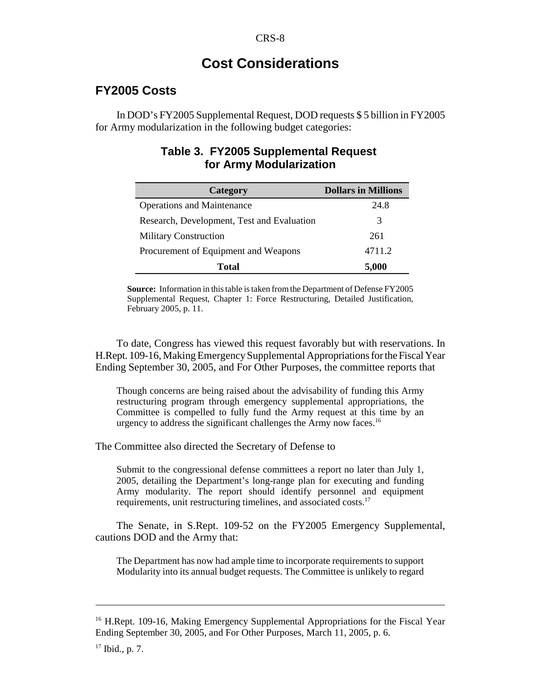## **Cost Considerations**

## **FY2005 Costs**

In DOD's FY2005 Supplemental Request, DOD requests \$ 5 billion in FY2005 for Army modularization in the following budget categories:

## **Table 3. FY2005 Supplemental Request for Army Modularization**

| Category                                   | <b>Dollars in Millions</b> |
|--------------------------------------------|----------------------------|
| <b>Operations and Maintenance</b>          | 24.8                       |
| Research, Development, Test and Evaluation | 3                          |
| <b>Military Construction</b>               | 261                        |
| Procurement of Equipment and Weapons       | 4711.2                     |
| Total                                      | 5,000                      |

**Source:** Information in this table is taken from the Department of Defense FY2005 Supplemental Request, Chapter 1: Force Restructuring, Detailed Justification, February 2005, p. 11.

To date, Congress has viewed this request favorably but with reservations. In H.Rept. 109-16, Making Emergency Supplemental Appropriations for the Fiscal Year Ending September 30, 2005, and For Other Purposes, the committee reports that

Though concerns are being raised about the advisability of funding this Army restructuring program through emergency supplemental appropriations, the Committee is compelled to fully fund the Army request at this time by an urgency to address the significant challenges the Army now faces.16

The Committee also directed the Secretary of Defense to

Submit to the congressional defense committees a report no later than July 1, 2005, detailing the Department's long-range plan for executing and funding Army modularity. The report should identify personnel and equipment requirements, unit restructuring timelines, and associated costs.17

The Senate, in S.Rept. 109-52 on the FY2005 Emergency Supplemental, cautions DOD and the Army that:

The Department has now had ample time to incorporate requirements to support Modularity into its annual budget requests. The Committee is unlikely to regard

<sup>&</sup>lt;sup>16</sup> H.Rept. 109-16, Making Emergency Supplemental Appropriations for the Fiscal Year Ending September 30, 2005, and For Other Purposes, March 11, 2005, p. 6.

 $17$  Ibid., p. 7.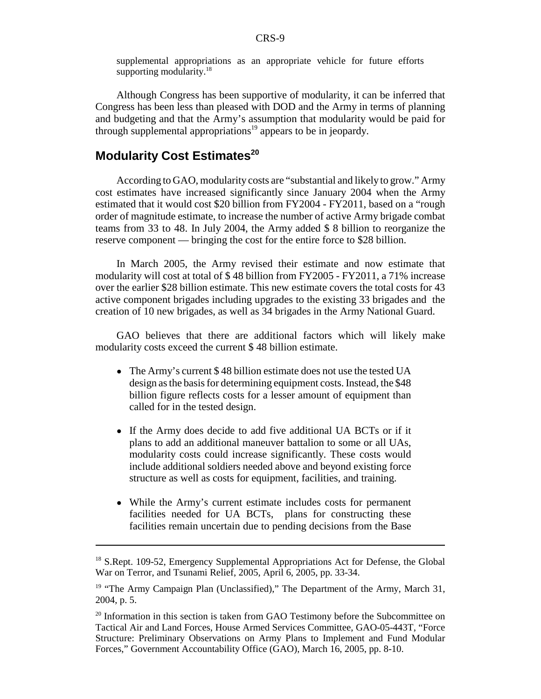supplemental appropriations as an appropriate vehicle for future efforts supporting modularity.<sup>18</sup>

Although Congress has been supportive of modularity, it can be inferred that Congress has been less than pleased with DOD and the Army in terms of planning and budgeting and that the Army's assumption that modularity would be paid for through supplemental appropriations<sup>19</sup> appears to be in jeopardy.

## **Modularity Cost Estimates<sup>20</sup>**

According to GAO, modularity costs are "substantial and likely to grow." Army cost estimates have increased significantly since January 2004 when the Army estimated that it would cost \$20 billion from FY2004 - FY2011, based on a "rough order of magnitude estimate, to increase the number of active Army brigade combat teams from 33 to 48. In July 2004, the Army added \$ 8 billion to reorganize the reserve component — bringing the cost for the entire force to \$28 billion.

In March 2005, the Army revised their estimate and now estimate that modularity will cost at total of \$ 48 billion from FY2005 - FY2011, a 71% increase over the earlier \$28 billion estimate. This new estimate covers the total costs for 43 active component brigades including upgrades to the existing 33 brigades and the creation of 10 new brigades, as well as 34 brigades in the Army National Guard.

GAO believes that there are additional factors which will likely make modularity costs exceed the current \$ 48 billion estimate.

- The Army's current \$48 billion estimate does not use the tested UA design as the basis for determining equipment costs. Instead, the \$48 billion figure reflects costs for a lesser amount of equipment than called for in the tested design.
- If the Army does decide to add five additional UA BCTs or if it plans to add an additional maneuver battalion to some or all UAs, modularity costs could increase significantly. These costs would include additional soldiers needed above and beyond existing force structure as well as costs for equipment, facilities, and training.
- ! While the Army's current estimate includes costs for permanent facilities needed for UA BCTs, plans for constructing these facilities remain uncertain due to pending decisions from the Base

<sup>&</sup>lt;sup>18</sup> S.Rept. 109-52, Emergency Supplemental Appropriations Act for Defense, the Global War on Terror, and Tsunami Relief, 2005, April 6, 2005, pp. 33-34.

<sup>&</sup>lt;sup>19</sup> "The Army Campaign Plan (Unclassified)," The Department of the Army, March 31, 2004, p. 5.

<sup>&</sup>lt;sup>20</sup> Information in this section is taken from GAO Testimony before the Subcommittee on Tactical Air and Land Forces, House Armed Services Committee, GAO-05-443T, "Force Structure: Preliminary Observations on Army Plans to Implement and Fund Modular Forces," Government Accountability Office (GAO), March 16, 2005, pp. 8-10.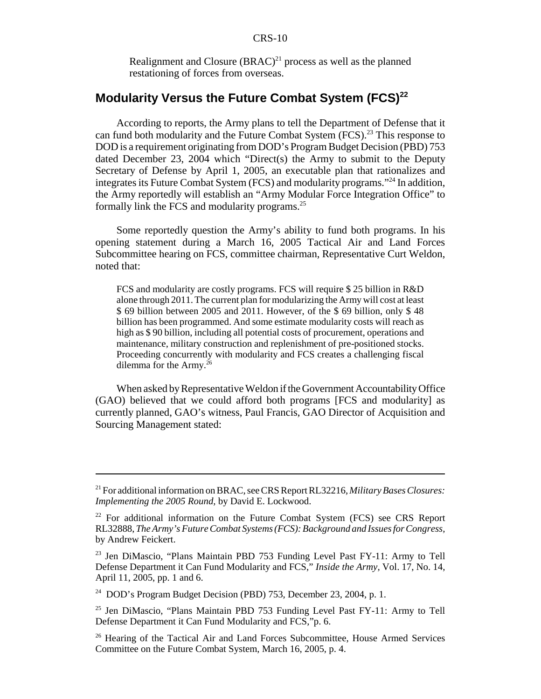Realignment and Closure  $(BRAC)^{21}$  process as well as the planned restationing of forces from overseas.

## **Modularity Versus the Future Combat System (FCS)<sup>22</sup>**

According to reports, the Army plans to tell the Department of Defense that it can fund both modularity and the Future Combat System (FCS).<sup>23</sup> This response to DOD is a requirement originating from DOD's Program Budget Decision (PBD) 753 dated December 23, 2004 which "Direct(s) the Army to submit to the Deputy Secretary of Defense by April 1, 2005, an executable plan that rationalizes and integrates its Future Combat System (FCS) and modularity programs."24 In addition, the Army reportedly will establish an "Army Modular Force Integration Office" to formally link the FCS and modularity programs.25

Some reportedly question the Army's ability to fund both programs. In his opening statement during a March 16, 2005 Tactical Air and Land Forces Subcommittee hearing on FCS, committee chairman, Representative Curt Weldon, noted that:

FCS and modularity are costly programs. FCS will require \$ 25 billion in R&D alone through 2011. The current plan for modularizing the Army will cost at least \$ 69 billion between 2005 and 2011. However, of the \$ 69 billion, only \$ 48 billion has been programmed. And some estimate modularity costs will reach as high as \$ 90 billion, including all potential costs of procurement, operations and maintenance, military construction and replenishment of pre-positioned stocks. Proceeding concurrently with modularity and FCS creates a challenging fiscal dilemma for the Army. $^{26}$ 

When asked by Representative Weldon if the Government Accountability Office (GAO) believed that we could afford both programs [FCS and modularity] as currently planned, GAO's witness, Paul Francis, GAO Director of Acquisition and Sourcing Management stated:

<sup>21</sup> For additional information on BRAC, see CRS Report RL32216, *Military Bases Closures: Implementing the 2005 Round,* by David E. Lockwood.

 $22$  For additional information on the Future Combat System (FCS) see CRS Report RL32888, *The Army's Future Combat Systems (FCS): Background and Issues for Congress,* by Andrew Feickert.

<sup>&</sup>lt;sup>23</sup> Jen DiMascio, "Plans Maintain PBD 753 Funding Level Past FY-11: Army to Tell Defense Department it Can Fund Modularity and FCS," *Inside the Army,* Vol. 17, No. 14, April 11, 2005, pp. 1 and 6.

<sup>24</sup> DOD's Program Budget Decision (PBD) 753, December 23, 2004, p. 1.

<sup>&</sup>lt;sup>25</sup> Jen DiMascio, "Plans Maintain PBD 753 Funding Level Past FY-11: Army to Tell Defense Department it Can Fund Modularity and FCS,"p. 6.

<sup>&</sup>lt;sup>26</sup> Hearing of the Tactical Air and Land Forces Subcommittee, House Armed Services Committee on the Future Combat System, March 16, 2005, p. 4.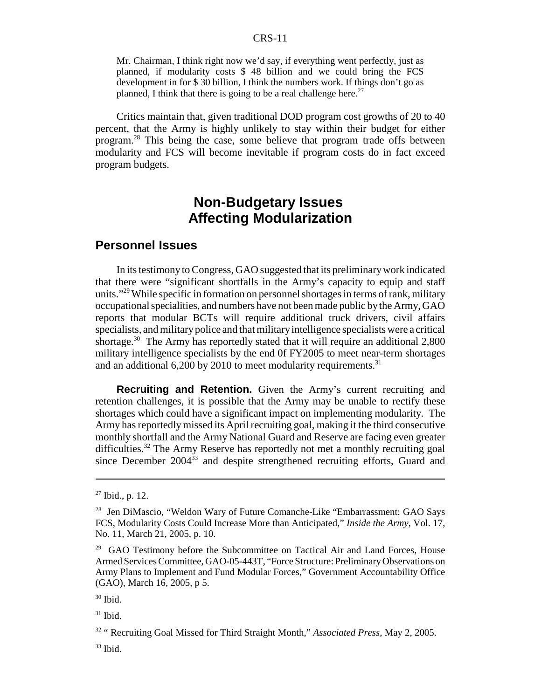#### CRS-11

Mr. Chairman, I think right now we'd say, if everything went perfectly, just as planned, if modularity costs \$ 48 billion and we could bring the FCS development in for \$ 30 billion, I think the numbers work. If things don't go as planned, I think that there is going to be a real challenge here.<sup>27</sup>

Critics maintain that, given traditional DOD program cost growths of 20 to 40 percent, that the Army is highly unlikely to stay within their budget for either program.28 This being the case, some believe that program trade offs between modularity and FCS will become inevitable if program costs do in fact exceed program budgets.

## **Non-Budgetary Issues Affecting Modularization**

### **Personnel Issues**

In its testimony to Congress, GAO suggested that its preliminary work indicated that there were "significant shortfalls in the Army's capacity to equip and staff units."29 While specific in formation on personnel shortages in terms of rank, military occupational specialities, and numbers have not been made public by the Army, GAO reports that modular BCTs will require additional truck drivers, civil affairs specialists, and military police and that military intelligence specialists were a critical shortage.<sup>30</sup> The Army has reportedly stated that it will require an additional 2,800 military intelligence specialists by the end 0f FY2005 to meet near-term shortages and an additional  $6,200$  by 2010 to meet modularity requirements.<sup>31</sup>

**Recruiting and Retention.** Given the Army's current recruiting and retention challenges, it is possible that the Army may be unable to rectify these shortages which could have a significant impact on implementing modularity. The Army has reportedly missed its April recruiting goal, making it the third consecutive monthly shortfall and the Army National Guard and Reserve are facing even greater difficulties.<sup>32</sup> The Army Reserve has reportedly not met a monthly recruiting goal since December 2004<sup>33</sup> and despite strengthened recruiting efforts, Guard and

 $27$  Ibid., p. 12.

<sup>&</sup>lt;sup>28</sup> Jen DiMascio, "Weldon Wary of Future Comanche-Like "Embarrassment: GAO Says FCS, Modularity Costs Could Increase More than Anticipated," *Inside the Army,* Vol. 17, No. 11, March 21, 2005, p. 10.

<sup>&</sup>lt;sup>29</sup> GAO Testimony before the Subcommittee on Tactical Air and Land Forces, House Armed Services Committee, GAO-05-443T, "Force Structure: Preliminary Observations on Army Plans to Implement and Fund Modular Forces," Government Accountability Office (GAO), March 16, 2005, p 5.

 $30$  Ibid.

 $31$  Ibid.

<sup>32 &</sup>quot; Recruiting Goal Missed for Third Straight Month," *Associated Press,* May 2, 2005.

 $33$  Ibid.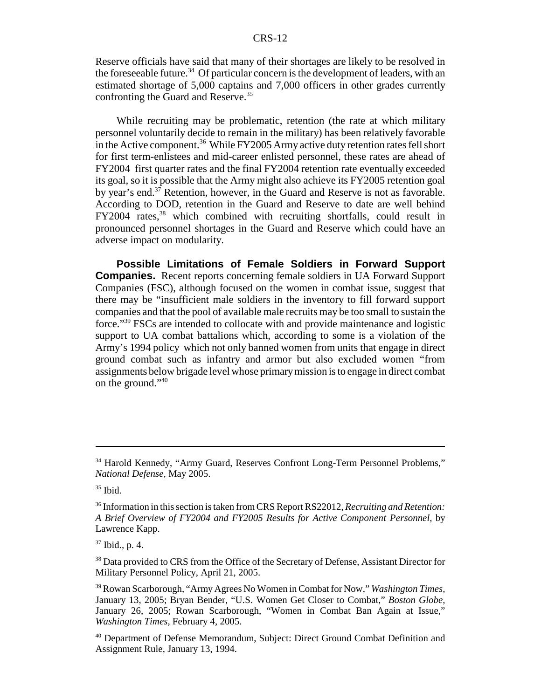Reserve officials have said that many of their shortages are likely to be resolved in the foreseeable future.<sup>34</sup> Of particular concern is the development of leaders, with an estimated shortage of 5,000 captains and 7,000 officers in other grades currently confronting the Guard and Reserve.<sup>35</sup>

While recruiting may be problematic, retention (the rate at which military personnel voluntarily decide to remain in the military) has been relatively favorable in the Active component.<sup>36</sup> While FY2005 Army active duty retention rates fell short for first term-enlistees and mid-career enlisted personnel, these rates are ahead of FY2004 first quarter rates and the final FY2004 retention rate eventually exceeded its goal, so it is possible that the Army might also achieve its FY2005 retention goal by year's end.37 Retention, however, in the Guard and Reserve is not as favorable. According to DOD, retention in the Guard and Reserve to date are well behind FY2004 rates,<sup>38</sup> which combined with recruiting shortfalls, could result in pronounced personnel shortages in the Guard and Reserve which could have an adverse impact on modularity.

**Possible Limitations of Female Soldiers in Forward Support Companies.** Recent reports concerning female soldiers in UA Forward Support Companies (FSC), although focused on the women in combat issue, suggest that there may be "insufficient male soldiers in the inventory to fill forward support companies and that the pool of available male recruits may be too small to sustain the force."39 FSCs are intended to collocate with and provide maintenance and logistic support to UA combat battalions which, according to some is a violation of the Army's 1994 policy which not only banned women from units that engage in direct ground combat such as infantry and armor but also excluded women "from assignments below brigade level whose primary mission is to engage in direct combat on the ground."40

<sup>&</sup>lt;sup>34</sup> Harold Kennedy, "Army Guard, Reserves Confront Long-Term Personnel Problems," *National Defense,* May 2005.

 $35$  Ibid.

<sup>36</sup> Information in this section is taken from CRS Report RS22012, *Recruiting and Retention: A Brief Overview of FY2004 and FY2005 Results for Active Component Personnel,* by Lawrence Kapp.

 $37$  Ibid., p. 4.

<sup>&</sup>lt;sup>38</sup> Data provided to CRS from the Office of the Secretary of Defense, Assistant Director for Military Personnel Policy, April 21, 2005.

<sup>39</sup> Rowan Scarborough, "Army Agrees No Women in Combat for Now," *Washington Times,* January 13, 2005; Bryan Bender, "U.S. Women Get Closer to Combat," *Boston Globe,* January 26, 2005; Rowan Scarborough, "Women in Combat Ban Again at Issue," *Washington Times,* February 4, 2005.

<sup>40</sup> Department of Defense Memorandum, Subject: Direct Ground Combat Definition and Assignment Rule, January 13, 1994.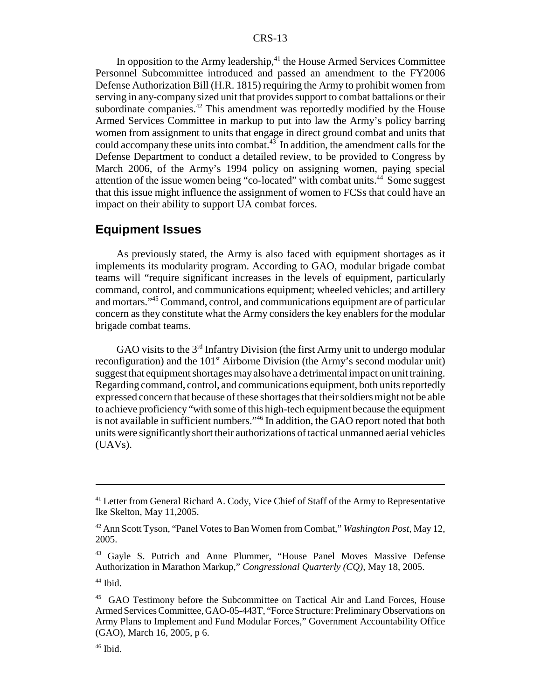#### CRS-13

In opposition to the Army leadership,<sup>41</sup> the House Armed Services Committee Personnel Subcommittee introduced and passed an amendment to the FY2006 Defense Authorization Bill (H.R. 1815) requiring the Army to prohibit women from serving in any-company sized unit that provides support to combat battalions or their subordinate companies.<sup>42</sup> This amendment was reportedly modified by the House Armed Services Committee in markup to put into law the Army's policy barring women from assignment to units that engage in direct ground combat and units that could accompany these units into combat. $43$  In addition, the amendment calls for the Defense Department to conduct a detailed review, to be provided to Congress by March 2006, of the Army's 1994 policy on assigning women, paying special attention of the issue women being "co-located" with combat units.<sup>44</sup> Some suggest that this issue might influence the assignment of women to FCSs that could have an impact on their ability to support UA combat forces.

## **Equipment Issues**

As previously stated, the Army is also faced with equipment shortages as it implements its modularity program. According to GAO, modular brigade combat teams will "require significant increases in the levels of equipment, particularly command, control, and communications equipment; wheeled vehicles; and artillery and mortars."45 Command, control, and communications equipment are of particular concern as they constitute what the Army considers the key enablers for the modular brigade combat teams.

GAO visits to the  $3<sup>rd</sup>$  Infantry Division (the first Army unit to undergo modular reconfiguration) and the  $101<sup>st</sup>$  Airborne Division (the Army's second modular unit) suggest that equipment shortages may also have a detrimental impact on unit training. Regarding command, control, and communications equipment, both units reportedly expressed concern that because of these shortages that their soldiers might not be able to achieve proficiency "with some of this high-tech equipment because the equipment is not available in sufficient numbers."46 In addition, the GAO report noted that both units were significantly short their authorizations of tactical unmanned aerial vehicles (UAVs).

<sup>&</sup>lt;sup>41</sup> Letter from General Richard A. Cody, Vice Chief of Staff of the Army to Representative Ike Skelton, May 11,2005.

<sup>42</sup> Ann Scott Tyson, "Panel Votes to Ban Women from Combat," *Washington Post,* May 12, 2005.

<sup>&</sup>lt;sup>43</sup> Gayle S. Putrich and Anne Plummer, "House Panel Moves Massive Defense Authorization in Marathon Markup," *Congressional Quarterly (CQ),* May 18, 2005.

 $44$  Ibid.

<sup>45</sup> GAO Testimony before the Subcommittee on Tactical Air and Land Forces, House Armed Services Committee, GAO-05-443T, "Force Structure: Preliminary Observations on Army Plans to Implement and Fund Modular Forces," Government Accountability Office (GAO), March 16, 2005, p 6.

 $46$  Ibid.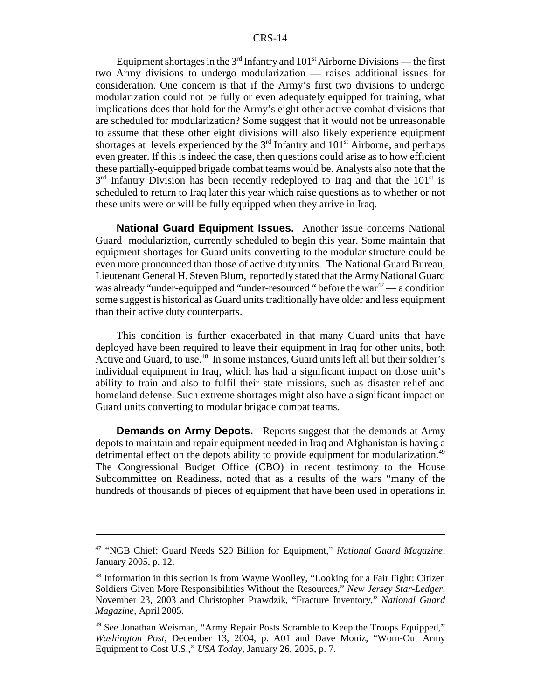Equipment shortages in the  $3<sup>rd</sup>$  Infantry and  $101<sup>st</sup>$  Airborne Divisions — the first two Army divisions to undergo modularization — raises additional issues for consideration. One concern is that if the Army's first two divisions to undergo modularization could not be fully or even adequately equipped for training, what implications does that hold for the Army's eight other active combat divisions that are scheduled for modularization? Some suggest that it would not be unreasonable to assume that these other eight divisions will also likely experience equipment shortages at levels experienced by the  $3<sup>rd</sup>$  Infantry and  $101<sup>st</sup>$  Airborne, and perhaps even greater. If this is indeed the case, then questions could arise as to how efficient these partially-equipped brigade combat teams would be. Analysts also note that the  $3<sup>rd</sup>$  Infantry Division has been recently redeployed to Iraq and that the 101<sup>st</sup> is scheduled to return to Iraq later this year which raise questions as to whether or not these units were or will be fully equipped when they arrive in Iraq.

**National Guard Equipment Issues.** Another issue concerns National Guard modulariztion, currently scheduled to begin this year. Some maintain that equipment shortages for Guard units converting to the modular structure could be even more pronounced than those of active duty units. The National Guard Bureau, Lieutenant General H. Steven Blum, reportedly stated that the Army National Guard was already "under-equipped and "under-resourced " before the war<sup>47</sup> — a condition some suggest is historical as Guard units traditionally have older and less equipment than their active duty counterparts.

This condition is further exacerbated in that many Guard units that have deployed have been required to leave their equipment in Iraq for other units, both Active and Guard, to use.<sup>48</sup> In some instances, Guard units left all but their soldier's individual equipment in Iraq, which has had a significant impact on those unit's ability to train and also to fulfil their state missions, such as disaster relief and homeland defense. Such extreme shortages might also have a significant impact on Guard units converting to modular brigade combat teams.

**Demands on Army Depots.** Reports suggest that the demands at Army depots to maintain and repair equipment needed in Iraq and Afghanistan is having a detrimental effect on the depots ability to provide equipment for modularization.<sup>49</sup> The Congressional Budget Office (CBO) in recent testimony to the House Subcommittee on Readiness, noted that as a results of the wars "many of the hundreds of thousands of pieces of equipment that have been used in operations in

<sup>47 &</sup>quot;NGB Chief: Guard Needs \$20 Billion for Equipment," *National Guard Magazine,* January 2005, p. 12.

<sup>&</sup>lt;sup>48</sup> Information in this section is from Wayne Woolley, "Looking for a Fair Fight: Citizen Soldiers Given More Responsibilities Without the Resources," *New Jersey Star-Ledger,* November 23, 2003 and Christopher Prawdzik, "Fracture Inventory," *National Guard Magazine,* April 2005.

<sup>&</sup>lt;sup>49</sup> See Jonathan Weisman, "Army Repair Posts Scramble to Keep the Troops Equipped," *Washington Post,* December 13, 2004, p. A01 and Dave Moniz, "Worn-Out Army Equipment to Cost U.S.," *USA Today,* January 26, 2005, p. 7.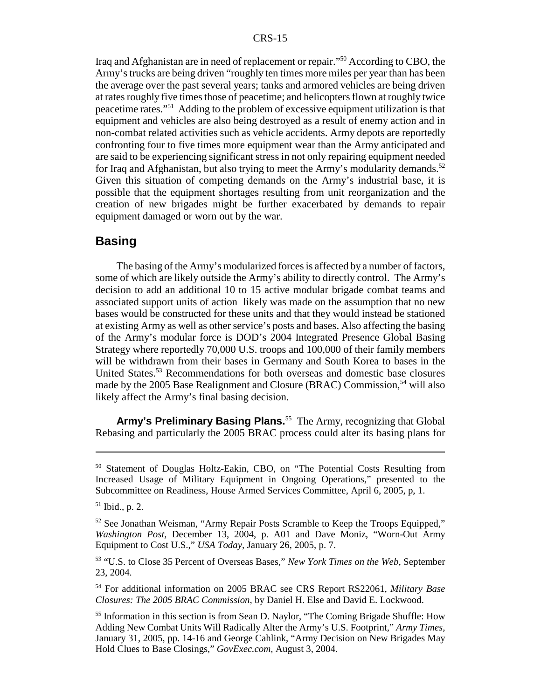Iraq and Afghanistan are in need of replacement or repair."50 According to CBO, the Army's trucks are being driven "roughly ten times more miles per year than has been the average over the past several years; tanks and armored vehicles are being driven at rates roughly five times those of peacetime; and helicopters flown at roughly twice peacetime rates."51 Adding to the problem of excessive equipment utilization is that equipment and vehicles are also being destroyed as a result of enemy action and in non-combat related activities such as vehicle accidents. Army depots are reportedly confronting four to five times more equipment wear than the Army anticipated and are said to be experiencing significant stress in not only repairing equipment needed for Iraq and Afghanistan, but also trying to meet the Army's modularity demands.<sup>52</sup> Given this situation of competing demands on the Army's industrial base, it is possible that the equipment shortages resulting from unit reorganization and the creation of new brigades might be further exacerbated by demands to repair equipment damaged or worn out by the war.

### **Basing**

The basing of the Army's modularized forces is affected by a number of factors, some of which are likely outside the Army's ability to directly control. The Army's decision to add an additional 10 to 15 active modular brigade combat teams and associated support units of action likely was made on the assumption that no new bases would be constructed for these units and that they would instead be stationed at existing Army as well as other service's posts and bases. Also affecting the basing of the Army's modular force is DOD's 2004 Integrated Presence Global Basing Strategy where reportedly 70,000 U.S. troops and 100,000 of their family members will be withdrawn from their bases in Germany and South Korea to bases in the United States.53 Recommendations for both overseas and domestic base closures made by the 2005 Base Realignment and Closure (BRAC) Commission,<sup>54</sup> will also likely affect the Army's final basing decision.

**Army's Preliminary Basing Plans.**55 The Army, recognizing that Global Rebasing and particularly the 2005 BRAC process could alter its basing plans for

<sup>50</sup> Statement of Douglas Holtz-Eakin, CBO, on "The Potential Costs Resulting from Increased Usage of Military Equipment in Ongoing Operations," presented to the Subcommittee on Readiness, House Armed Services Committee, April 6, 2005, p, 1.

<sup>51</sup> Ibid., p. 2.

<sup>&</sup>lt;sup>52</sup> See Jonathan Weisman, "Army Repair Posts Scramble to Keep the Troops Equipped," *Washington Post,* December 13, 2004, p. A01 and Dave Moniz, "Worn-Out Army Equipment to Cost U.S.," *USA Today,* January 26, 2005, p. 7.

<sup>53 &</sup>quot;U.S. to Close 35 Percent of Overseas Bases," *New York Times on the Web,* September 23, 2004.

<sup>54</sup> For additional information on 2005 BRAC see CRS Report RS22061, *Military Base Closures: The 2005 BRAC Commission*, by Daniel H. Else and David E. Lockwood.

<sup>&</sup>lt;sup>55</sup> Information in this section is from Sean D. Naylor, "The Coming Brigade Shuffle: How Adding New Combat Units Will Radically Alter the Army's U.S. Footprint," *Army Times,* January 31, 2005, pp. 14-16 and George Cahlink, "Army Decision on New Brigades May Hold Clues to Base Closings," *GovExec.com,* August 3, 2004.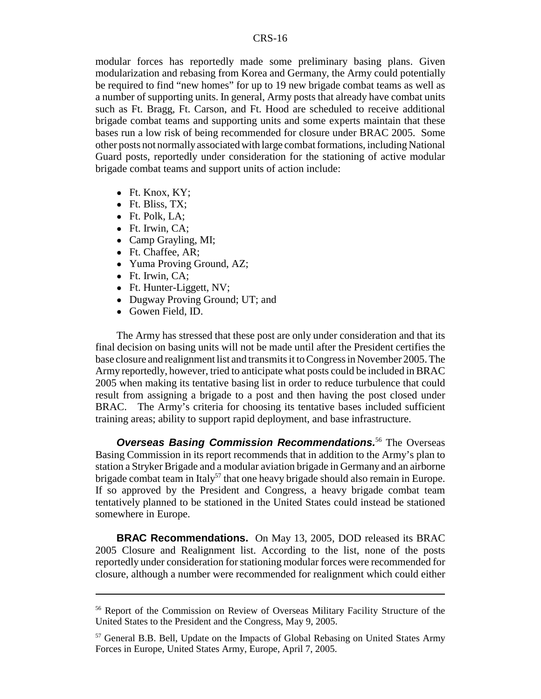modular forces has reportedly made some preliminary basing plans. Given modularization and rebasing from Korea and Germany, the Army could potentially be required to find "new homes" for up to 19 new brigade combat teams as well as a number of supporting units. In general, Army posts that already have combat units such as Ft. Bragg, Ft. Carson, and Ft. Hood are scheduled to receive additional brigade combat teams and supporting units and some experts maintain that these bases run a low risk of being recommended for closure under BRAC 2005. Some other posts not normally associated with large combat formations, including National Guard posts, reportedly under consideration for the stationing of active modular brigade combat teams and support units of action include:

- $\bullet$  Ft. Knox, KY;
- $\bullet$  Ft. Bliss, TX;
- Ft. Polk, LA:
- Ft. Irwin, CA;
- Camp Grayling, MI;
- Ft. Chaffee, AR;
- Yuma Proving Ground, AZ;
- Ft. Irwin, CA;
- Ft. Hunter-Liggett, NV;
- Dugway Proving Ground; UT; and
- Gowen Field, ID.

The Army has stressed that these post are only under consideration and that its final decision on basing units will not be made until after the President certifies the base closure and realignment list and transmits it to Congress in November 2005. The Army reportedly, however, tried to anticipate what posts could be included in BRAC 2005 when making its tentative basing list in order to reduce turbulence that could result from assigning a brigade to a post and then having the post closed under BRAC. The Army's criteria for choosing its tentative bases included sufficient training areas; ability to support rapid deployment, and base infrastructure.

**Overseas Basing Commission Recommendations.**<sup>56</sup> The Overseas Basing Commission in its report recommends that in addition to the Army's plan to station a Stryker Brigade and a modular aviation brigade in Germany and an airborne brigade combat team in Italy<sup>57</sup> that one heavy brigade should also remain in Europe. If so approved by the President and Congress, a heavy brigade combat team tentatively planned to be stationed in the United States could instead be stationed somewhere in Europe.

**BRAC Recommendations.** On May 13, 2005, DOD released its BRAC 2005 Closure and Realignment list. According to the list, none of the posts reportedly under consideration for stationing modular forces were recommended for closure, although a number were recommended for realignment which could either

<sup>56</sup> Report of the Commission on Review of Overseas Military Facility Structure of the United States to the President and the Congress, May 9, 2005.

<sup>57</sup> General B.B. Bell, Update on the Impacts of Global Rebasing on United States Army Forces in Europe, United States Army, Europe, April 7, 2005.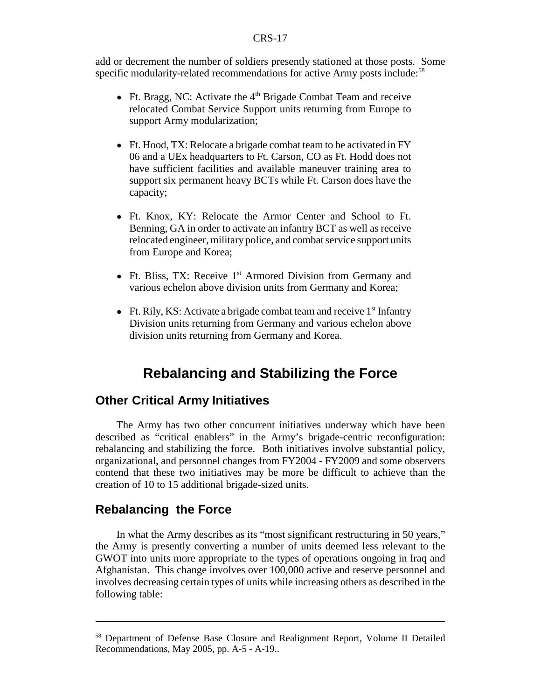#### CRS-17

add or decrement the number of soldiers presently stationed at those posts. Some specific modularity-related recommendations for active Army posts include:<sup>58</sup>

- Ft. Bragg, NC: Activate the  $4<sup>th</sup>$  Brigade Combat Team and receive relocated Combat Service Support units returning from Europe to support Army modularization;
- Ft. Hood, TX: Relocate a brigade combat team to be activated in FY 06 and a UEx headquarters to Ft. Carson, CO as Ft. Hodd does not have sufficient facilities and available maneuver training area to support six permanent heavy BCTs while Ft. Carson does have the capacity;
- ! Ft. Knox, KY: Relocate the Armor Center and School to Ft. Benning, GA in order to activate an infantry BCT as well as receive relocated engineer, military police, and combat service support units from Europe and Korea;
- Ft. Bliss, TX: Receive  $1<sup>st</sup>$  Armored Division from Germany and various echelon above division units from Germany and Korea;
- Ft. Rily, KS: Activate a brigade combat team and receive  $1<sup>st</sup>$  Infantry Division units returning from Germany and various echelon above division units returning from Germany and Korea.

## **Rebalancing and Stabilizing the Force**

## **Other Critical Army Initiatives**

The Army has two other concurrent initiatives underway which have been described as "critical enablers" in the Army's brigade-centric reconfiguration: rebalancing and stabilizing the force. Both initiatives involve substantial policy, organizational, and personnel changes from FY2004 - FY2009 and some observers contend that these two initiatives may be more be difficult to achieve than the creation of 10 to 15 additional brigade-sized units.

## **Rebalancing the Force**

In what the Army describes as its "most significant restructuring in 50 years," the Army is presently converting a number of units deemed less relevant to the GWOT into units more appropriate to the types of operations ongoing in Iraq and Afghanistan. This change involves over 100,000 active and reserve personnel and involves decreasing certain types of units while increasing others as described in the following table:

<sup>58</sup> Department of Defense Base Closure and Realignment Report, Volume II Detailed Recommendations, May 2005, pp. A-5 - A-19..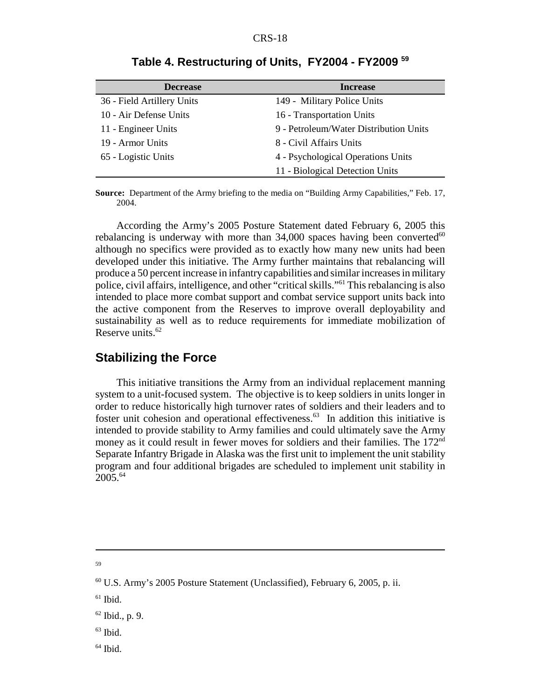| <b>Decrease</b>            | <b>Increase</b>                        |
|----------------------------|----------------------------------------|
| 36 - Field Artillery Units | 149 - Military Police Units            |
| 10 - Air Defense Units     | 16 - Transportation Units              |
| 11 - Engineer Units        | 9 - Petroleum/Water Distribution Units |
| 19 - Armor Units           | 8 - Civil Affairs Units                |
| 65 - Logistic Units        | 4 - Psychological Operations Units     |
|                            | 11 - Biological Detection Units        |

**Table 4. Restructuring of Units, FY2004 - FY2009 59**

**Source:** Department of the Army briefing to the media on "Building Army Capabilities," Feb. 17, 2004.

According the Army's 2005 Posture Statement dated February 6, 2005 this rebalancing is underway with more than  $34,000$  spaces having been converted $^{60}$ although no specifics were provided as to exactly how many new units had been developed under this initiative. The Army further maintains that rebalancing will produce a 50 percent increase in infantry capabilities and similar increases in military police, civil affairs, intelligence, and other "critical skills."61 This rebalancing is also intended to place more combat support and combat service support units back into the active component from the Reserves to improve overall deployability and sustainability as well as to reduce requirements for immediate mobilization of Reserve units.<sup>62</sup>

### **Stabilizing the Force**

This initiative transitions the Army from an individual replacement manning system to a unit-focused system. The objective is to keep soldiers in units longer in order to reduce historically high turnover rates of soldiers and their leaders and to foster unit cohesion and operational effectiveness.<sup>63</sup> In addition this initiative is intended to provide stability to Army families and could ultimately save the Army money as it could result in fewer moves for soldiers and their families. The 172<sup>nd</sup> Separate Infantry Brigade in Alaska was the first unit to implement the unit stability program and four additional brigades are scheduled to implement unit stability in 2005.64

- $63$  Ibid.
- $64$  Ibid.

<sup>59</sup>

 $60$  U.S. Army's 2005 Posture Statement (Unclassified), February 6, 2005, p. ii.

 $61$  Ibid.

 $62$  Ibid., p. 9.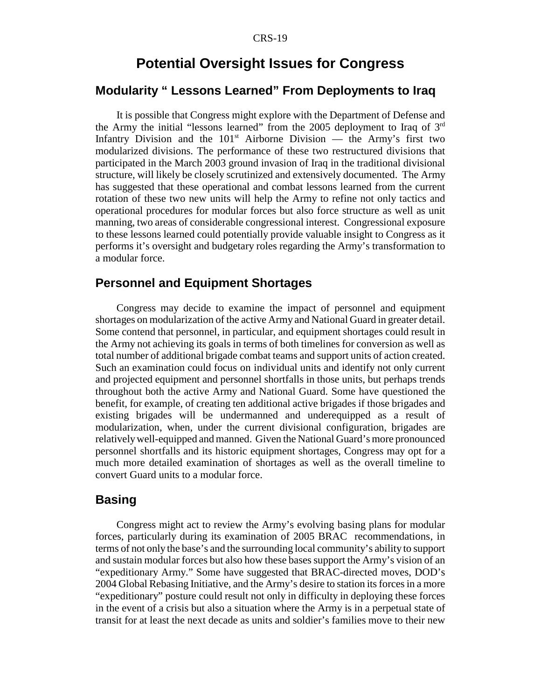## **Potential Oversight Issues for Congress**

## **Modularity " Lessons Learned" From Deployments to Iraq**

It is possible that Congress might explore with the Department of Defense and the Army the initial "lessons learned" from the 2005 deployment to Iraq of  $3<sup>rd</sup>$ Infantry Division and the  $101<sup>st</sup>$  Airborne Division — the Army's first two modularized divisions. The performance of these two restructured divisions that participated in the March 2003 ground invasion of Iraq in the traditional divisional structure, will likely be closely scrutinized and extensively documented. The Army has suggested that these operational and combat lessons learned from the current rotation of these two new units will help the Army to refine not only tactics and operational procedures for modular forces but also force structure as well as unit manning, two areas of considerable congressional interest. Congressional exposure to these lessons learned could potentially provide valuable insight to Congress as it performs it's oversight and budgetary roles regarding the Army's transformation to a modular force.

## **Personnel and Equipment Shortages**

Congress may decide to examine the impact of personnel and equipment shortages on modularization of the active Army and National Guard in greater detail. Some contend that personnel, in particular, and equipment shortages could result in the Army not achieving its goals in terms of both timelines for conversion as well as total number of additional brigade combat teams and support units of action created. Such an examination could focus on individual units and identify not only current and projected equipment and personnel shortfalls in those units, but perhaps trends throughout both the active Army and National Guard. Some have questioned the benefit, for example, of creating ten additional active brigades if those brigades and existing brigades will be undermanned and underequipped as a result of modularization, when, under the current divisional configuration, brigades are relatively well-equipped and manned. Given the National Guard's more pronounced personnel shortfalls and its historic equipment shortages, Congress may opt for a much more detailed examination of shortages as well as the overall timeline to convert Guard units to a modular force.

#### **Basing**

Congress might act to review the Army's evolving basing plans for modular forces, particularly during its examination of 2005 BRAC recommendations, in terms of not only the base's and the surrounding local community's ability to support and sustain modular forces but also how these bases support the Army's vision of an "expeditionary Army." Some have suggested that BRAC-directed moves, DOD's 2004 Global Rebasing Initiative, and the Army's desire to station its forces in a more "expeditionary" posture could result not only in difficulty in deploying these forces in the event of a crisis but also a situation where the Army is in a perpetual state of transit for at least the next decade as units and soldier's families move to their new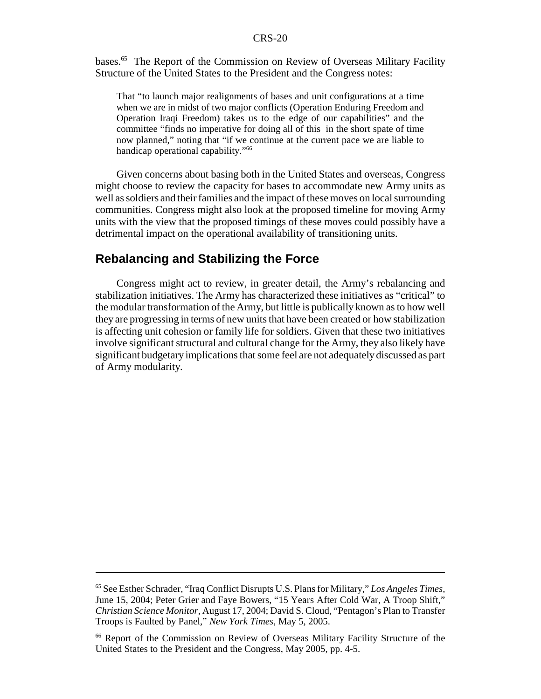#### CRS-20

bases.65 The Report of the Commission on Review of Overseas Military Facility Structure of the United States to the President and the Congress notes:

That "to launch major realignments of bases and unit configurations at a time when we are in midst of two major conflicts (Operation Enduring Freedom and Operation Iraqi Freedom) takes us to the edge of our capabilities" and the committee "finds no imperative for doing all of this in the short spate of time now planned," noting that "if we continue at the current pace we are liable to handicap operational capability."66

Given concerns about basing both in the United States and overseas, Congress might choose to review the capacity for bases to accommodate new Army units as well as soldiers and their families and the impact of these moves on local surrounding communities. Congress might also look at the proposed timeline for moving Army units with the view that the proposed timings of these moves could possibly have a detrimental impact on the operational availability of transitioning units.

## **Rebalancing and Stabilizing the Force**

Congress might act to review, in greater detail, the Army's rebalancing and stabilization initiatives. The Army has characterized these initiatives as "critical" to the modular transformation of the Army, but little is publically known as to how well they are progressing in terms of new units that have been created or how stabilization is affecting unit cohesion or family life for soldiers. Given that these two initiatives involve significant structural and cultural change for the Army, they also likely have significant budgetary implications that some feel are not adequately discussed as part of Army modularity.

<sup>65</sup> See Esther Schrader, "Iraq Conflict Disrupts U.S. Plans for Military," *Los Angeles Times,* June 15, 2004; Peter Grier and Faye Bowers, "15 Years After Cold War, A Troop Shift," *Christian Science Monitor*, August 17, 2004; David S. Cloud, "Pentagon's Plan to Transfer Troops is Faulted by Panel," *New York Times,* May 5, 2005.

<sup>66</sup> Report of the Commission on Review of Overseas Military Facility Structure of the United States to the President and the Congress, May 2005, pp. 4-5.